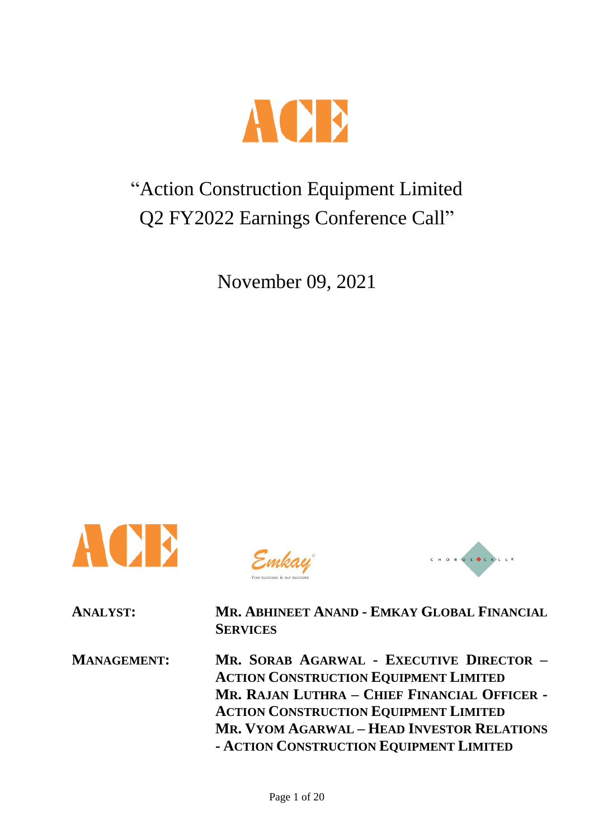

# "Action Construction Equipment Limited Q2 FY2022 Earnings Conference Call"

November 09, 2021



Emkay



**ANALYST: MR. ABHINEET ANAND - EMKAY GLOBAL FINANCIAL SERVICES**

**MANAGEMENT: MR. SORAB AGARWAL - EXECUTIVE DIRECTOR – ACTION CONSTRUCTION EQUIPMENT LIMITED MR. RAJAN LUTHRA – CHIEF FINANCIAL OFFICER - ACTION CONSTRUCTION EQUIPMENT LIMITED MR. VYOM AGARWAL – HEAD INVESTOR RELATIONS - ACTION CONSTRUCTION EQUIPMENT LIMITED**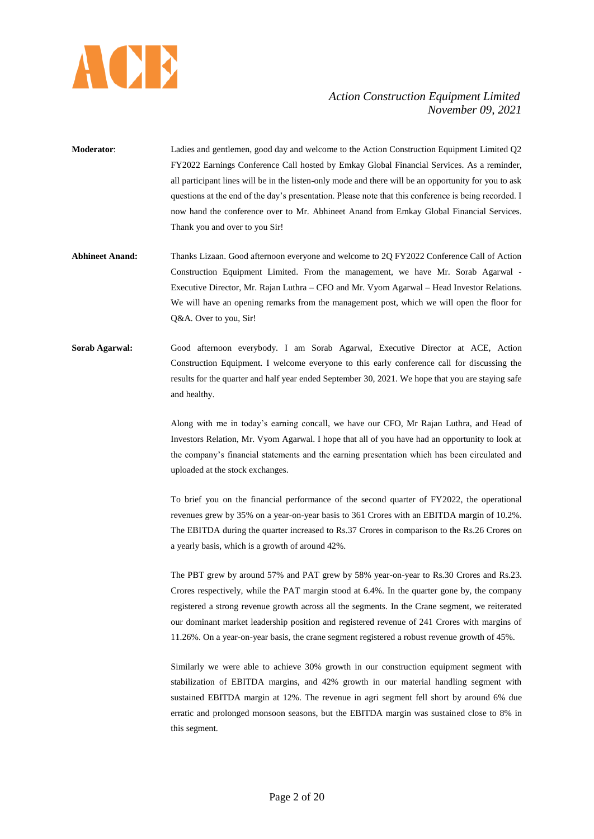

- **Moderator**: Ladies and gentlemen, good day and welcome to the Action Construction Equipment Limited Q2 FY2022 Earnings Conference Call hosted by Emkay Global Financial Services. As a reminder, all participant lines will be in the listen-only mode and there will be an opportunity for you to ask questions at the end of the day's presentation. Please note that this conference is being recorded. I now hand the conference over to Mr. Abhineet Anand from Emkay Global Financial Services. Thank you and over to you Sir!
- **Abhineet Anand:** Thanks Lizaan. Good afternoon everyone and welcome to 2Q FY2022 Conference Call of Action Construction Equipment Limited. From the management, we have Mr. Sorab Agarwal - Executive Director, Mr. Rajan Luthra – CFO and Mr. Vyom Agarwal – Head Investor Relations. We will have an opening remarks from the management post, which we will open the floor for Q&A. Over to you, Sir!
- **Sorab Agarwal:** Good afternoon everybody. I am Sorab Agarwal, Executive Director at ACE, Action Construction Equipment. I welcome everyone to this early conference call for discussing the results for the quarter and half year ended September 30, 2021. We hope that you are staying safe and healthy.

Along with me in today's earning concall, we have our CFO, Mr Rajan Luthra, and Head of Investors Relation, Mr. Vyom Agarwal. I hope that all of you have had an opportunity to look at the company's financial statements and the earning presentation which has been circulated and uploaded at the stock exchanges.

To brief you on the financial performance of the second quarter of FY2022, the operational revenues grew by 35% on a year-on-year basis to 361 Crores with an EBITDA margin of 10.2%. The EBITDA during the quarter increased to Rs.37 Crores in comparison to the Rs.26 Crores on a yearly basis, which is a growth of around 42%.

The PBT grew by around 57% and PAT grew by 58% year-on-year to Rs.30 Crores and Rs.23. Crores respectively, while the PAT margin stood at 6.4%. In the quarter gone by, the company registered a strong revenue growth across all the segments. In the Crane segment, we reiterated our dominant market leadership position and registered revenue of 241 Crores with margins of 11.26%. On a year-on-year basis, the crane segment registered a robust revenue growth of 45%.

Similarly we were able to achieve 30% growth in our construction equipment segment with stabilization of EBITDA margins, and 42% growth in our material handling segment with sustained EBITDA margin at 12%. The revenue in agri segment fell short by around 6% due erratic and prolonged monsoon seasons, but the EBITDA margin was sustained close to 8% in this segment.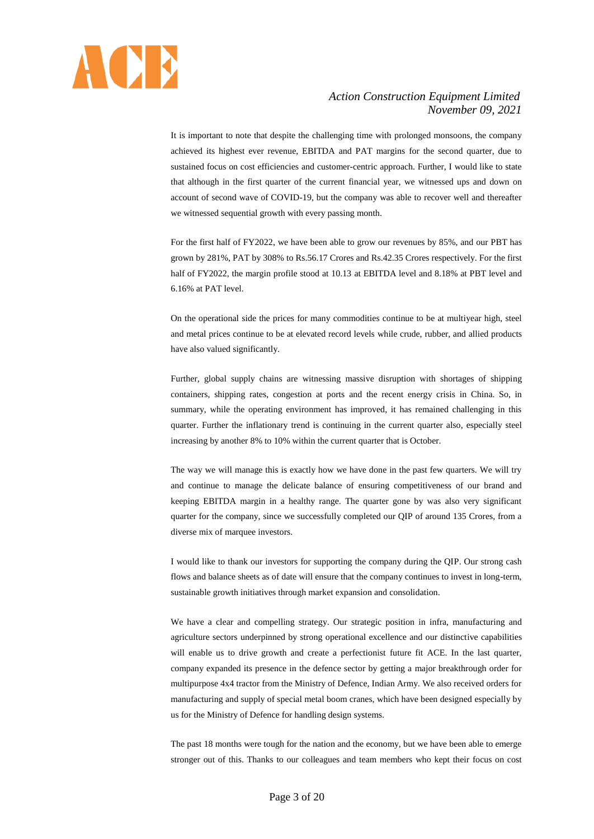

It is important to note that despite the challenging time with prolonged monsoons, the company achieved its highest ever revenue, EBITDA and PAT margins for the second quarter, due to sustained focus on cost efficiencies and customer-centric approach. Further, I would like to state that although in the first quarter of the current financial year, we witnessed ups and down on account of second wave of COVID-19, but the company was able to recover well and thereafter we witnessed sequential growth with every passing month.

For the first half of FY2022, we have been able to grow our revenues by 85%, and our PBT has grown by 281%, PAT by 308% to Rs.56.17 Crores and Rs.42.35 Crores respectively. For the first half of FY2022, the margin profile stood at 10.13 at EBITDA level and 8.18% at PBT level and 6.16% at PAT level.

On the operational side the prices for many commodities continue to be at multiyear high, steel and metal prices continue to be at elevated record levels while crude, rubber, and allied products have also valued significantly.

Further, global supply chains are witnessing massive disruption with shortages of shipping containers, shipping rates, congestion at ports and the recent energy crisis in China. So, in summary, while the operating environment has improved, it has remained challenging in this quarter. Further the inflationary trend is continuing in the current quarter also, especially steel increasing by another 8% to 10% within the current quarter that is October.

The way we will manage this is exactly how we have done in the past few quarters. We will try and continue to manage the delicate balance of ensuring competitiveness of our brand and keeping EBITDA margin in a healthy range. The quarter gone by was also very significant quarter for the company, since we successfully completed our QIP of around 135 Crores, from a diverse mix of marquee investors.

I would like to thank our investors for supporting the company during the QIP. Our strong cash flows and balance sheets as of date will ensure that the company continues to invest in long-term, sustainable growth initiatives through market expansion and consolidation.

We have a clear and compelling strategy. Our strategic position in infra, manufacturing and agriculture sectors underpinned by strong operational excellence and our distinctive capabilities will enable us to drive growth and create a perfectionist future fit ACE. In the last quarter, company expanded its presence in the defence sector by getting a major breakthrough order for multipurpose 4x4 tractor from the Ministry of Defence, Indian Army. We also received orders for manufacturing and supply of special metal boom cranes, which have been designed especially by us for the Ministry of Defence for handling design systems.

The past 18 months were tough for the nation and the economy, but we have been able to emerge stronger out of this. Thanks to our colleagues and team members who kept their focus on cost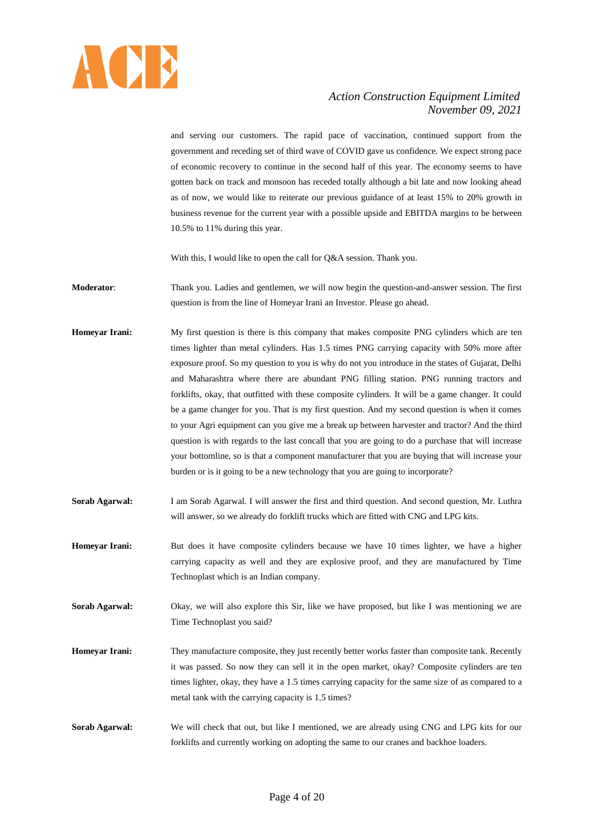

and serving our customers. The rapid pace of vaccination, continued support from the government and receding set of third wave of COVID gave us confidence. We expect strong pace of economic recovery to continue in the second half of this year. The economy seems to have gotten back on track and monsoon has receded totally although a bit late and now looking ahead as of now, we would like to reiterate our previous guidance of at least 15% to 20% growth in business revenue for the current year with a possible upside and EBITDA margins to be between 10.5% to 11% during this year.

With this, I would like to open the call for O&A session. Thank you.

- **Moderator**: Thank you. Ladies and gentlemen, we will now begin the question-and-answer session. The first question is from the line of Homeyar Irani an Investor. Please go ahead.
- **Homeyar Irani:** My first question is there is this company that makes composite PNG cylinders which are ten times lighter than metal cylinders. Has 1.5 times PNG carrying capacity with 50% more after exposure proof. So my question to you is why do not you introduce in the states of Gujarat, Delhi and Maharashtra where there are abundant PNG filling station. PNG running tractors and forklifts, okay, that outfitted with these composite cylinders. It will be a game changer. It could be a game changer for you. That is my first question. And my second question is when it comes to your Agri equipment can you give me a break up between harvester and tractor? And the third question is with regards to the last concall that you are going to do a purchase that will increase your bottomline, so is that a component manufacturer that you are buying that will increase your burden or is it going to be a new technology that you are going to incorporate?
- **Sorab Agarwal:** I am Sorab Agarwal. I will answer the first and third question. And second question, Mr. Luthra will answer, so we already do forklift trucks which are fitted with CNG and LPG kits.
- **Homeyar Irani:** But does it have composite cylinders because we have 10 times lighter, we have a higher carrying capacity as well and they are explosive proof, and they are manufactured by Time Technoplast which is an Indian company.
- **Sorab Agarwal:** Okay, we will also explore this Sir, like we have proposed, but like I was mentioning we are Time Technoplast you said?
- **Homeyar Irani:** They manufacture composite, they just recently better works faster than composite tank. Recently it was passed. So now they can sell it in the open market, okay? Composite cylinders are ten times lighter, okay, they have a 1.5 times carrying capacity for the same size of as compared to a metal tank with the carrying capacity is 1.5 times?
- **Sorab Agarwal:** We will check that out, but like I mentioned, we are already using CNG and LPG kits for our forklifts and currently working on adopting the same to our cranes and backhoe loaders.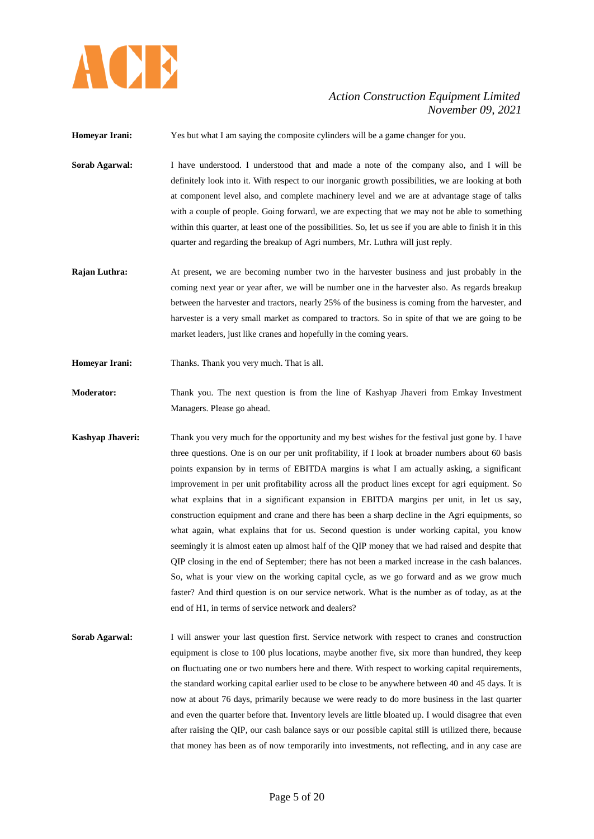

**Homeyar Irani:** Yes but what I am saying the composite cylinders will be a game changer for you.

- **Sorab Agarwal:** I have understood. I understood that and made a note of the company also, and I will be definitely look into it. With respect to our inorganic growth possibilities, we are looking at both at component level also, and complete machinery level and we are at advantage stage of talks with a couple of people. Going forward, we are expecting that we may not be able to something within this quarter, at least one of the possibilities. So, let us see if you are able to finish it in this quarter and regarding the breakup of Agri numbers, Mr. Luthra will just reply.
- **Rajan Luthra:** At present, we are becoming number two in the harvester business and just probably in the coming next year or year after, we will be number one in the harvester also. As regards breakup between the harvester and tractors, nearly 25% of the business is coming from the harvester, and harvester is a very small market as compared to tractors. So in spite of that we are going to be market leaders, just like cranes and hopefully in the coming years.
- **Homeyar Irani:** Thanks. Thank you very much. That is all.
- **Moderator:** Thank you. The next question is from the line of Kashyap Jhaveri from Emkay Investment Managers. Please go ahead.
- **Kashyap Jhaveri:** Thank you very much for the opportunity and my best wishes for the festival just gone by. I have three questions. One is on our per unit profitability, if I look at broader numbers about 60 basis points expansion by in terms of EBITDA margins is what I am actually asking, a significant improvement in per unit profitability across all the product lines except for agri equipment. So what explains that in a significant expansion in EBITDA margins per unit, in let us say, construction equipment and crane and there has been a sharp decline in the Agri equipments, so what again, what explains that for us. Second question is under working capital, you know seemingly it is almost eaten up almost half of the QIP money that we had raised and despite that QIP closing in the end of September; there has not been a marked increase in the cash balances. So, what is your view on the working capital cycle, as we go forward and as we grow much faster? And third question is on our service network. What is the number as of today, as at the end of H1, in terms of service network and dealers?
- **Sorab Agarwal:** I will answer your last question first. Service network with respect to cranes and construction equipment is close to 100 plus locations, maybe another five, six more than hundred, they keep on fluctuating one or two numbers here and there. With respect to working capital requirements, the standard working capital earlier used to be close to be anywhere between 40 and 45 days. It is now at about 76 days, primarily because we were ready to do more business in the last quarter and even the quarter before that. Inventory levels are little bloated up. I would disagree that even after raising the QIP, our cash balance says or our possible capital still is utilized there, because that money has been as of now temporarily into investments, not reflecting, and in any case are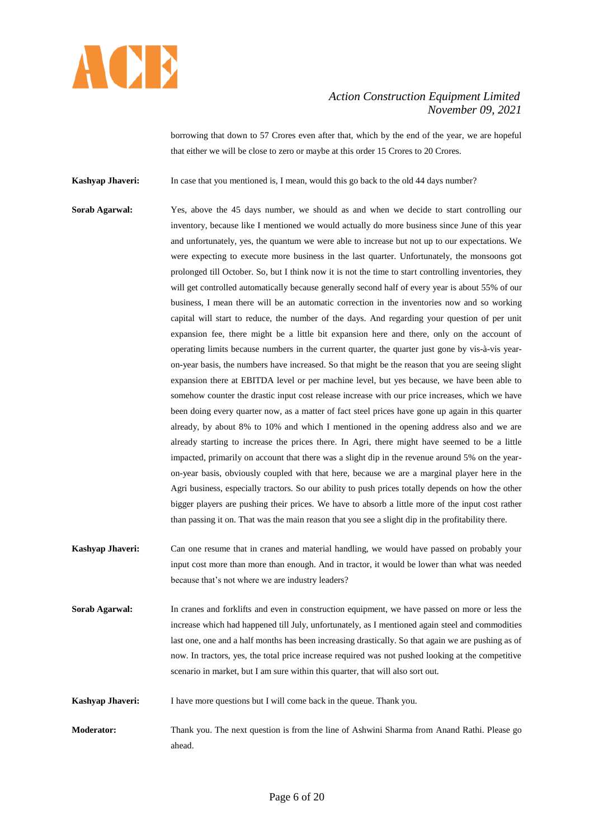

borrowing that down to 57 Crores even after that, which by the end of the year, we are hopeful that either we will be close to zero or maybe at this order 15 Crores to 20 Crores.

**Kashyap Jhaveri:** In case that you mentioned is, I mean, would this go back to the old 44 days number?

- **Sorab Agarwal:** Yes, above the 45 days number, we should as and when we decide to start controlling our inventory, because like I mentioned we would actually do more business since June of this year and unfortunately, yes, the quantum we were able to increase but not up to our expectations. We were expecting to execute more business in the last quarter. Unfortunately, the monsoons got prolonged till October. So, but I think now it is not the time to start controlling inventories, they will get controlled automatically because generally second half of every year is about 55% of our business, I mean there will be an automatic correction in the inventories now and so working capital will start to reduce, the number of the days. And regarding your question of per unit expansion fee, there might be a little bit expansion here and there, only on the account of operating limits because numbers in the current quarter, the quarter just gone by vis-à-vis yearon-year basis, the numbers have increased. So that might be the reason that you are seeing slight expansion there at EBITDA level or per machine level, but yes because, we have been able to somehow counter the drastic input cost release increase with our price increases, which we have been doing every quarter now, as a matter of fact steel prices have gone up again in this quarter already, by about 8% to 10% and which I mentioned in the opening address also and we are already starting to increase the prices there. In Agri, there might have seemed to be a little impacted, primarily on account that there was a slight dip in the revenue around 5% on the yearon-year basis, obviously coupled with that here, because we are a marginal player here in the Agri business, especially tractors. So our ability to push prices totally depends on how the other bigger players are pushing their prices. We have to absorb a little more of the input cost rather than passing it on. That was the main reason that you see a slight dip in the profitability there.
- **Kashyap Jhaveri:** Can one resume that in cranes and material handling, we would have passed on probably your input cost more than more than enough. And in tractor, it would be lower than what was needed because that's not where we are industry leaders?
- **Sorab Agarwal:** In cranes and forklifts and even in construction equipment, we have passed on more or less the increase which had happened till July, unfortunately, as I mentioned again steel and commodities last one, one and a half months has been increasing drastically. So that again we are pushing as of now. In tractors, yes, the total price increase required was not pushed looking at the competitive scenario in market, but I am sure within this quarter, that will also sort out.
- **Kashyap Jhaveri:** I have more questions but I will come back in the queue. Thank you.
- **Moderator:** Thank you. The next question is from the line of Ashwini Sharma from Anand Rathi. Please go ahead.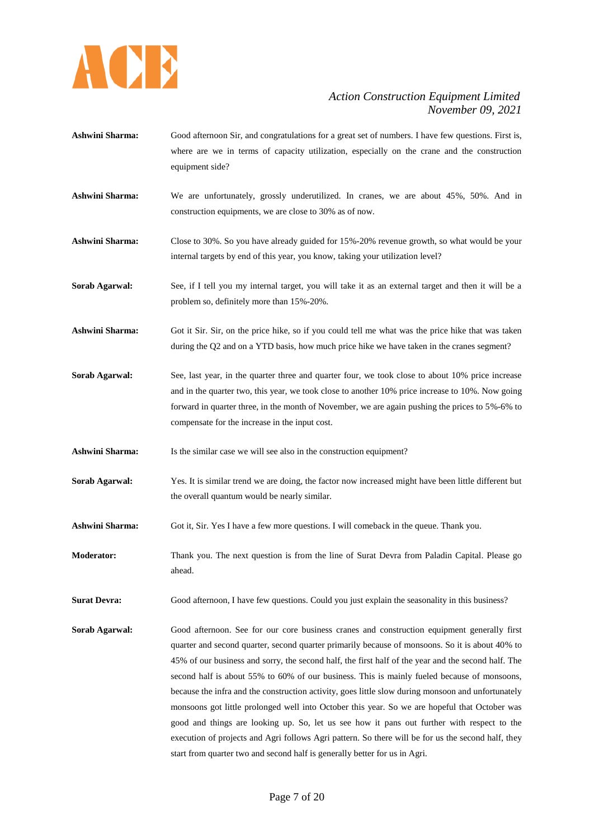

- **Ashwini Sharma:** Good afternoon Sir, and congratulations for a great set of numbers. I have few questions. First is, where are we in terms of capacity utilization, especially on the crane and the construction equipment side?
- **Ashwini Sharma:** We are unfortunately, grossly underutilized. In cranes, we are about 45%, 50%. And in construction equipments, we are close to 30% as of now.
- **Ashwini Sharma:** Close to 30%. So you have already guided for 15%-20% revenue growth, so what would be your internal targets by end of this year, you know, taking your utilization level?
- **Sorab Agarwal:** See, if I tell you my internal target, you will take it as an external target and then it will be a problem so, definitely more than 15%-20%.
- **Ashwini Sharma:** Got it Sir. Sir, on the price hike, so if you could tell me what was the price hike that was taken during the Q2 and on a YTD basis, how much price hike we have taken in the cranes segment?
- Sorab Agarwal: See, last year, in the quarter three and quarter four, we took close to about 10% price increase and in the quarter two, this year, we took close to another 10% price increase to 10%. Now going forward in quarter three, in the month of November, we are again pushing the prices to 5%-6% to compensate for the increase in the input cost.
- Ashwini Sharma: Is the similar case we will see also in the construction equipment?
- **Sorab Agarwal:** Yes. It is similar trend we are doing, the factor now increased might have been little different but the overall quantum would be nearly similar.
- **Ashwini Sharma:** Got it, Sir. Yes I have a few more questions. I will comeback in the queue. Thank you.
- **Moderator:** Thank you. The next question is from the line of Surat Devra from Paladin Capital. Please go ahead.
- **Surat Devra:** Good afternoon, I have few questions. Could you just explain the seasonality in this business?
- **Sorab Agarwal:** Good afternoon. See for our core business cranes and construction equipment generally first quarter and second quarter, second quarter primarily because of monsoons. So it is about 40% to 45% of our business and sorry, the second half, the first half of the year and the second half. The second half is about 55% to 60% of our business. This is mainly fueled because of monsoons, because the infra and the construction activity, goes little slow during monsoon and unfortunately monsoons got little prolonged well into October this year. So we are hopeful that October was good and things are looking up. So, let us see how it pans out further with respect to the execution of projects and Agri follows Agri pattern. So there will be for us the second half, they start from quarter two and second half is generally better for us in Agri.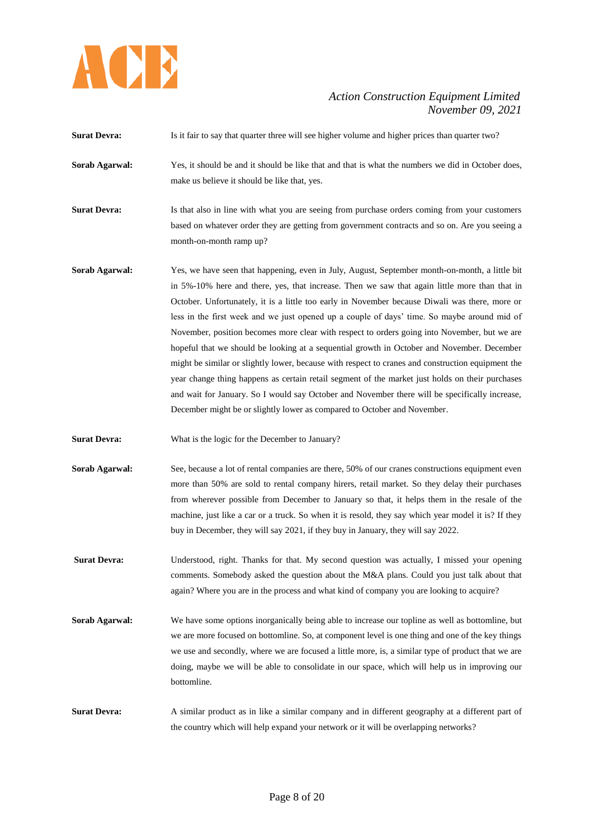

**Surat Devra:** Is it fair to say that quarter three will see higher volume and higher prices than quarter two? **Sorab Agarwal:** Yes, it should be and it should be like that and that is what the numbers we did in October does, make us believe it should be like that, yes. **Surat Devra:** Is that also in line with what you are seeing from purchase orders coming from your customers based on whatever order they are getting from government contracts and so on. Are you seeing a month-on-month ramp up? **Sorab Agarwal:** Yes, we have seen that happening, even in July, August, September month-on-month, a little bit in 5%-10% here and there, yes, that increase. Then we saw that again little more than that in October. Unfortunately, it is a little too early in November because Diwali was there, more or less in the first week and we just opened up a couple of days' time. So maybe around mid of November, position becomes more clear with respect to orders going into November, but we are hopeful that we should be looking at a sequential growth in October and November. December might be similar or slightly lower, because with respect to cranes and construction equipment the year change thing happens as certain retail segment of the market just holds on their purchases and wait for January. So I would say October and November there will be specifically increase, December might be or slightly lower as compared to October and November. **Surat Devra:** What is the logic for the December to January? **Sorab Agarwal:** See, because a lot of rental companies are there, 50% of our cranes constructions equipment even more than 50% are sold to rental company hirers, retail market. So they delay their purchases from wherever possible from December to January so that, it helps them in the resale of the machine, just like a car or a truck. So when it is resold, they say which year model it is? If they buy in December, they will say 2021, if they buy in January, they will say 2022. **Surat Devra:** Understood, right. Thanks for that. My second question was actually, I missed your opening comments. Somebody asked the question about the M&A plans. Could you just talk about that again? Where you are in the process and what kind of company you are looking to acquire? **Sorab Agarwal:** We have some options inorganically being able to increase our topline as well as bottomline, but we are more focused on bottomline. So, at component level is one thing and one of the key things we use and secondly, where we are focused a little more, is, a similar type of product that we are doing, maybe we will be able to consolidate in our space, which will help us in improving our bottomline. **Surat Devra:** A similar product as in like a similar company and in different geography at a different part of the country which will help expand your network or it will be overlapping networks?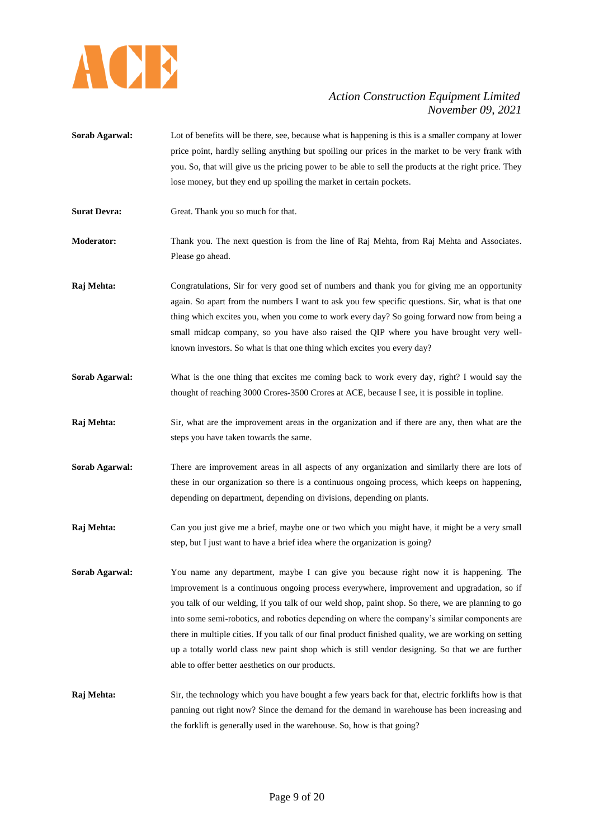

- **Sorab Agarwal:** Lot of benefits will be there, see, because what is happening is this is a smaller company at lower price point, hardly selling anything but spoiling our prices in the market to be very frank with you. So, that will give us the pricing power to be able to sell the products at the right price. They lose money, but they end up spoiling the market in certain pockets.
- **Surat Devra:** Great. Thank you so much for that.
- **Moderator:** Thank you. The next question is from the line of Raj Mehta, from Raj Mehta and Associates. Please go ahead.
- **Raj Mehta:** Congratulations, Sir for very good set of numbers and thank you for giving me an opportunity again. So apart from the numbers I want to ask you few specific questions. Sir, what is that one thing which excites you, when you come to work every day? So going forward now from being a small midcap company, so you have also raised the QIP where you have brought very wellknown investors. So what is that one thing which excites you every day?
- **Sorab Agarwal:** What is the one thing that excites me coming back to work every day, right? I would say the thought of reaching 3000 Crores-3500 Crores at ACE, because I see, it is possible in topline.
- **Raj Mehta:** Sir, what are the improvement areas in the organization and if there are any, then what are the steps you have taken towards the same.
- **Sorab Agarwal:** There are improvement areas in all aspects of any organization and similarly there are lots of these in our organization so there is a continuous ongoing process, which keeps on happening, depending on department, depending on divisions, depending on plants.
- **Raj Mehta:** Can you just give me a brief, maybe one or two which you might have, it might be a very small step, but I just want to have a brief idea where the organization is going?
- **Sorab Agarwal:** You name any department, maybe I can give you because right now it is happening. The improvement is a continuous ongoing process everywhere, improvement and upgradation, so if you talk of our welding, if you talk of our weld shop, paint shop. So there, we are planning to go into some semi-robotics, and robotics depending on where the company's similar components are there in multiple cities. If you talk of our final product finished quality, we are working on setting up a totally world class new paint shop which is still vendor designing. So that we are further able to offer better aesthetics on our products.
- **Raj Mehta:** Sir, the technology which you have bought a few years back for that, electric forklifts how is that panning out right now? Since the demand for the demand in warehouse has been increasing and the forklift is generally used in the warehouse. So, how is that going?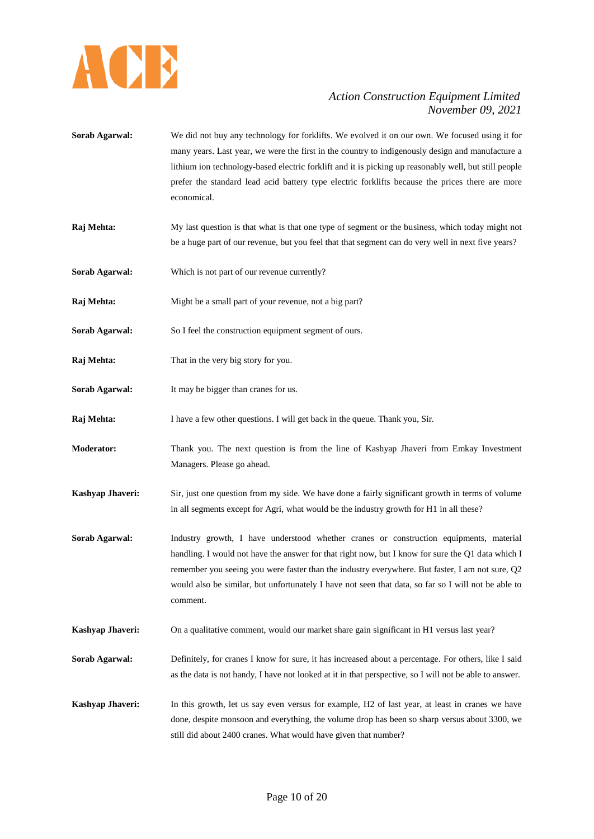

- **Sorab Agarwal:** We did not buy any technology for forklifts. We evolved it on our own. We focused using it for many years. Last year, we were the first in the country to indigenously design and manufacture a lithium ion technology-based electric forklift and it is picking up reasonably well, but still people prefer the standard lead acid battery type electric forklifts because the prices there are more economical.
- **Raj Mehta:** My last question is that what is that one type of segment or the business, which today might not be a huge part of our revenue, but you feel that that segment can do very well in next five years?
- **Sorab Agarwal:** Which is not part of our revenue currently?
- **Raj Mehta:** Might be a small part of your revenue, not a big part?
- Sorab Agarwal: So I feel the construction equipment segment of ours.
- **Raj Mehta:** That in the very big story for you.
- **Sorab Agarwal:** It may be bigger than cranes for us.
- **Raj Mehta:** I have a few other questions. I will get back in the queue. Thank you, Sir.
- **Moderator:** Thank you. The next question is from the line of Kashyap Jhaveri from Emkay Investment Managers. Please go ahead.
- **Kashyap Jhaveri:** Sir, just one question from my side. We have done a fairly significant growth in terms of volume in all segments except for Agri, what would be the industry growth for H1 in all these?
- **Sorab Agarwal:** Industry growth, I have understood whether cranes or construction equipments, material handling. I would not have the answer for that right now, but I know for sure the Q1 data which I remember you seeing you were faster than the industry everywhere. But faster, I am not sure, Q2 would also be similar, but unfortunately I have not seen that data, so far so I will not be able to comment.
- **Kashyap Jhaveri:** On a qualitative comment, would our market share gain significant in H1 versus last year?
- **Sorab Agarwal:** Definitely, for cranes I know for sure, it has increased about a percentage. For others, like I said as the data is not handy, I have not looked at it in that perspective, so I will not be able to answer.
- **Kashyap Jhaveri:** In this growth, let us say even versus for example, H2 of last year, at least in cranes we have done, despite monsoon and everything, the volume drop has been so sharp versus about 3300, we still did about 2400 cranes. What would have given that number?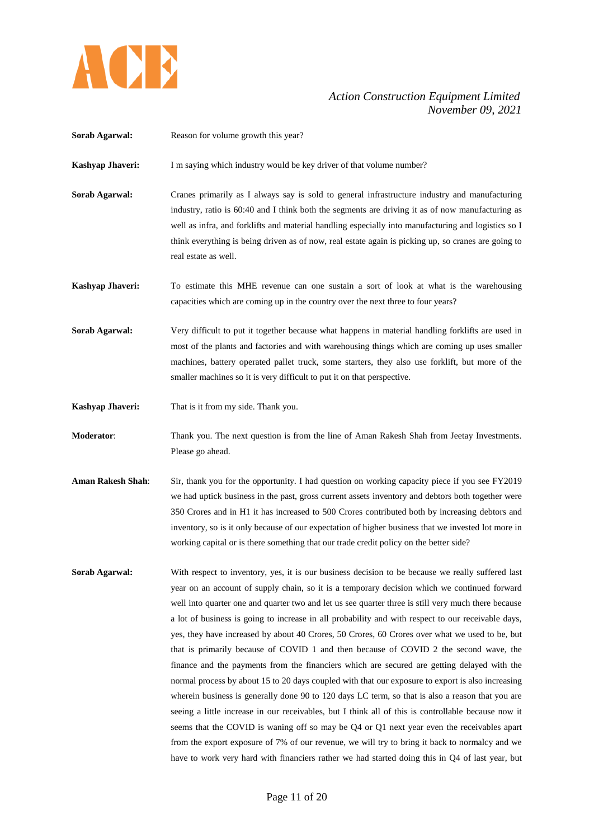

| Sorab Agarwal:           | Reason for volume growth this year?                                                                                                                                                                                                                                                                                                                                                                                                                                                                                                                                                                                                                                                                                                                                                                                                                                                                                                                                                                                                                                                                                                                                                                                                                                                                                         |
|--------------------------|-----------------------------------------------------------------------------------------------------------------------------------------------------------------------------------------------------------------------------------------------------------------------------------------------------------------------------------------------------------------------------------------------------------------------------------------------------------------------------------------------------------------------------------------------------------------------------------------------------------------------------------------------------------------------------------------------------------------------------------------------------------------------------------------------------------------------------------------------------------------------------------------------------------------------------------------------------------------------------------------------------------------------------------------------------------------------------------------------------------------------------------------------------------------------------------------------------------------------------------------------------------------------------------------------------------------------------|
| Kashyap Jhaveri:         | I m saying which industry would be key driver of that volume number?                                                                                                                                                                                                                                                                                                                                                                                                                                                                                                                                                                                                                                                                                                                                                                                                                                                                                                                                                                                                                                                                                                                                                                                                                                                        |
| Sorab Agarwal:           | Cranes primarily as I always say is sold to general infrastructure industry and manufacturing<br>industry, ratio is 60:40 and I think both the segments are driving it as of now manufacturing as<br>well as infra, and forklifts and material handling especially into manufacturing and logistics so I<br>think everything is being driven as of now, real estate again is picking up, so cranes are going to<br>real estate as well.                                                                                                                                                                                                                                                                                                                                                                                                                                                                                                                                                                                                                                                                                                                                                                                                                                                                                     |
| Kashyap Jhaveri:         | To estimate this MHE revenue can one sustain a sort of look at what is the warehousing<br>capacities which are coming up in the country over the next three to four years?                                                                                                                                                                                                                                                                                                                                                                                                                                                                                                                                                                                                                                                                                                                                                                                                                                                                                                                                                                                                                                                                                                                                                  |
| Sorab Agarwal:           | Very difficult to put it together because what happens in material handling forklifts are used in<br>most of the plants and factories and with warehousing things which are coming up uses smaller<br>machines, battery operated pallet truck, some starters, they also use forklift, but more of the<br>smaller machines so it is very difficult to put it on that perspective.                                                                                                                                                                                                                                                                                                                                                                                                                                                                                                                                                                                                                                                                                                                                                                                                                                                                                                                                            |
| Kashyap Jhaveri:         | That is it from my side. Thank you.                                                                                                                                                                                                                                                                                                                                                                                                                                                                                                                                                                                                                                                                                                                                                                                                                                                                                                                                                                                                                                                                                                                                                                                                                                                                                         |
| Moderator:               | Thank you. The next question is from the line of Aman Rakesh Shah from Jeetay Investments.<br>Please go ahead.                                                                                                                                                                                                                                                                                                                                                                                                                                                                                                                                                                                                                                                                                                                                                                                                                                                                                                                                                                                                                                                                                                                                                                                                              |
| <b>Aman Rakesh Shah:</b> | Sir, thank you for the opportunity. I had question on working capacity piece if you see FY2019<br>we had uptick business in the past, gross current assets inventory and debtors both together were<br>350 Crores and in H1 it has increased to 500 Crores contributed both by increasing debtors and<br>inventory, so is it only because of our expectation of higher business that we invested lot more in<br>working capital or is there something that our trade credit policy on the better side?                                                                                                                                                                                                                                                                                                                                                                                                                                                                                                                                                                                                                                                                                                                                                                                                                      |
| Sorab Agarwal:           | With respect to inventory, yes, it is our business decision to be because we really suffered last<br>year on an account of supply chain, so it is a temporary decision which we continued forward<br>well into quarter one and quarter two and let us see quarter three is still very much there because<br>a lot of business is going to increase in all probability and with respect to our receivable days,<br>yes, they have increased by about 40 Crores, 50 Crores, 60 Crores over what we used to be, but<br>that is primarily because of COVID 1 and then because of COVID 2 the second wave, the<br>finance and the payments from the financiers which are secured are getting delayed with the<br>normal process by about 15 to 20 days coupled with that our exposure to export is also increasing<br>wherein business is generally done 90 to 120 days LC term, so that is also a reason that you are<br>seeing a little increase in our receivables, but I think all of this is controllable because now it<br>seems that the COVID is waning off so may be Q4 or Q1 next year even the receivables apart<br>from the export exposure of 7% of our revenue, we will try to bring it back to normalcy and we<br>have to work very hard with financiers rather we had started doing this in Q4 of last year, but |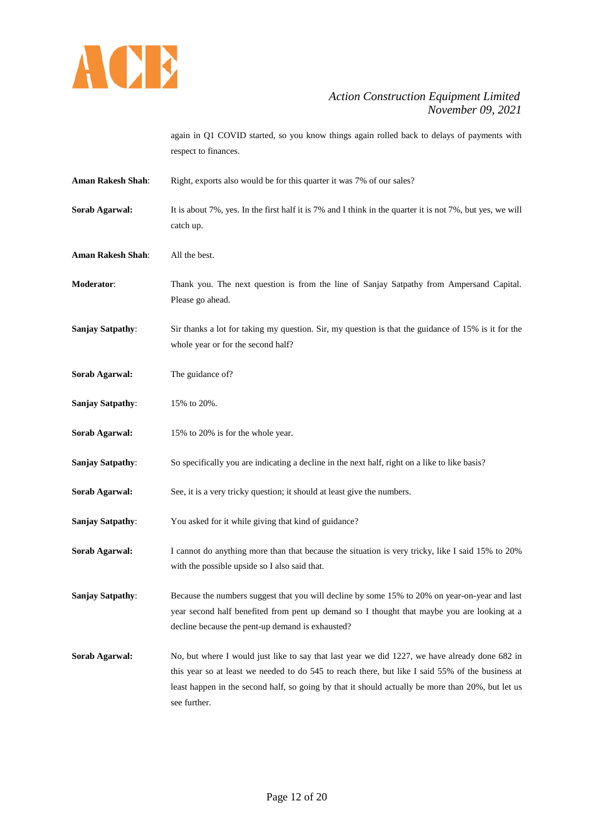

again in Q1 COVID started, so you know things again rolled back to delays of payments with respect to finances.

- Aman Rakesh Shah: Right, exports also would be for this quarter it was 7% of our sales? **Sorab Agarwal:** It is about 7%, yes. In the first half it is 7% and I think in the quarter it is not 7%, but yes, we will catch up.
- **Aman Rakesh Shah**: All the best.
- **Moderator**: Thank you. The next question is from the line of Sanjay Satpathy from Ampersand Capital. Please go ahead.
- **Sanjay Satpathy:** Sir thanks a lot for taking my question. Sir, my question is that the guidance of 15% is it for the whole year or for the second half?
- **Sorab Agarwal:** The guidance of?
- **Sanjay Satpathy**: 15% to 20%.
- **Sorab Agarwal:** 15% to 20% is for the whole year.
- **Sanjay Satpathy:** So specifically you are indicating a decline in the next half, right on a like to like basis?
- **Sorab Agarwal:** See, it is a very tricky question; it should at least give the numbers.
- **Sanjay Satpathy**: You asked for it while giving that kind of guidance?
- **Sorab Agarwal:** I cannot do anything more than that because the situation is very tricky, like I said 15% to 20% with the possible upside so I also said that.

**Sanjay Satpathy:** Because the numbers suggest that you will decline by some 15% to 20% on year-on-year and last year second half benefited from pent up demand so I thought that maybe you are looking at a decline because the pent-up demand is exhausted?

**Sorab Agarwal:** No, but where I would just like to say that last year we did 1227, we have already done 682 in this year so at least we needed to do 545 to reach there, but like I said 55% of the business at least happen in the second half, so going by that it should actually be more than 20%, but let us see further.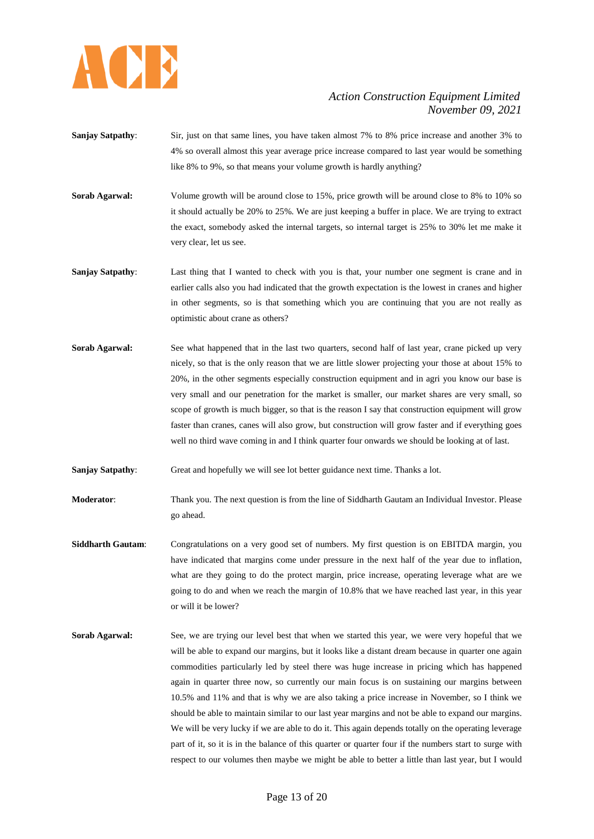

- **Sanjay Satpathy**: Sir, just on that same lines, you have taken almost 7% to 8% price increase and another 3% to 4% so overall almost this year average price increase compared to last year would be something like 8% to 9%, so that means your volume growth is hardly anything?
- **Sorab Agarwal:** Volume growth will be around close to 15%, price growth will be around close to 8% to 10% so it should actually be 20% to 25%. We are just keeping a buffer in place. We are trying to extract the exact, somebody asked the internal targets, so internal target is 25% to 30% let me make it very clear, let us see.
- **Sanjay Satpathy**: Last thing that I wanted to check with you is that, your number one segment is crane and in earlier calls also you had indicated that the growth expectation is the lowest in cranes and higher in other segments, so is that something which you are continuing that you are not really as optimistic about crane as others?
- **Sorab Agarwal:** See what happened that in the last two quarters, second half of last year, crane picked up very nicely, so that is the only reason that we are little slower projecting your those at about 15% to 20%, in the other segments especially construction equipment and in agri you know our base is very small and our penetration for the market is smaller, our market shares are very small, so scope of growth is much bigger, so that is the reason I say that construction equipment will grow faster than cranes, canes will also grow, but construction will grow faster and if everything goes well no third wave coming in and I think quarter four onwards we should be looking at of last.
- **Sanjay Satpathy:** Great and hopefully we will see lot better guidance next time. Thanks a lot.
- **Moderator**: Thank you. The next question is from the line of Siddharth Gautam an Individual Investor. Please go ahead.
- **Siddharth Gautam**: Congratulations on a very good set of numbers. My first question is on EBITDA margin, you have indicated that margins come under pressure in the next half of the year due to inflation, what are they going to do the protect margin, price increase, operating leverage what are we going to do and when we reach the margin of 10.8% that we have reached last year, in this year or will it be lower?
- **Sorab Agarwal:** See, we are trying our level best that when we started this year, we were very hopeful that we will be able to expand our margins, but it looks like a distant dream because in quarter one again commodities particularly led by steel there was huge increase in pricing which has happened again in quarter three now, so currently our main focus is on sustaining our margins between 10.5% and 11% and that is why we are also taking a price increase in November, so I think we should be able to maintain similar to our last year margins and not be able to expand our margins. We will be very lucky if we are able to do it. This again depends totally on the operating leverage part of it, so it is in the balance of this quarter or quarter four if the numbers start to surge with respect to our volumes then maybe we might be able to better a little than last year, but I would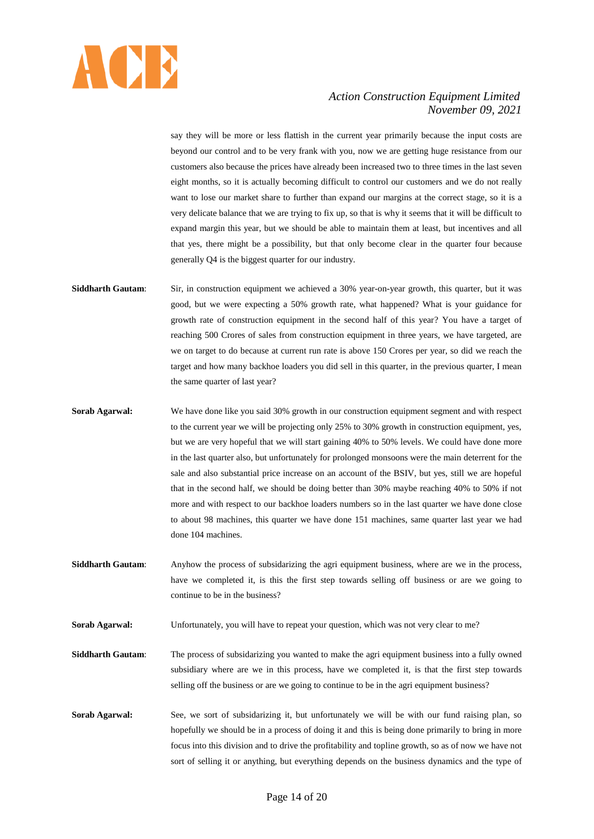

say they will be more or less flattish in the current year primarily because the input costs are beyond our control and to be very frank with you, now we are getting huge resistance from our customers also because the prices have already been increased two to three times in the last seven eight months, so it is actually becoming difficult to control our customers and we do not really want to lose our market share to further than expand our margins at the correct stage, so it is a very delicate balance that we are trying to fix up, so that is why it seems that it will be difficult to expand margin this year, but we should be able to maintain them at least, but incentives and all that yes, there might be a possibility, but that only become clear in the quarter four because generally Q4 is the biggest quarter for our industry.

- **Siddharth Gautam**: Sir, in construction equipment we achieved a 30% year-on-year growth, this quarter, but it was good, but we were expecting a 50% growth rate, what happened? What is your guidance for growth rate of construction equipment in the second half of this year? You have a target of reaching 500 Crores of sales from construction equipment in three years, we have targeted, are we on target to do because at current run rate is above 150 Crores per year, so did we reach the target and how many backhoe loaders you did sell in this quarter, in the previous quarter, I mean the same quarter of last year?
- **Sorab Agarwal:** We have done like you said 30% growth in our construction equipment segment and with respect to the current year we will be projecting only 25% to 30% growth in construction equipment, yes, but we are very hopeful that we will start gaining 40% to 50% levels. We could have done more in the last quarter also, but unfortunately for prolonged monsoons were the main deterrent for the sale and also substantial price increase on an account of the BSIV, but yes, still we are hopeful that in the second half, we should be doing better than 30% maybe reaching 40% to 50% if not more and with respect to our backhoe loaders numbers so in the last quarter we have done close to about 98 machines, this quarter we have done 151 machines, same quarter last year we had done 104 machines.
- **Siddharth Gautam:** Anyhow the process of subsidarizing the agri equipment business, where are we in the process, have we completed it, is this the first step towards selling off business or are we going to continue to be in the business?

**Sorab Agarwal:** Unfortunately, you will have to repeat your question, which was not very clear to me?

**Siddharth Gautam**: The process of subsidarizing you wanted to make the agri equipment business into a fully owned subsidiary where are we in this process, have we completed it, is that the first step towards selling off the business or are we going to continue to be in the agri equipment business?

**Sorab Agarwal:** See, we sort of subsidarizing it, but unfortunately we will be with our fund raising plan, so hopefully we should be in a process of doing it and this is being done primarily to bring in more focus into this division and to drive the profitability and topline growth, so as of now we have not sort of selling it or anything, but everything depends on the business dynamics and the type of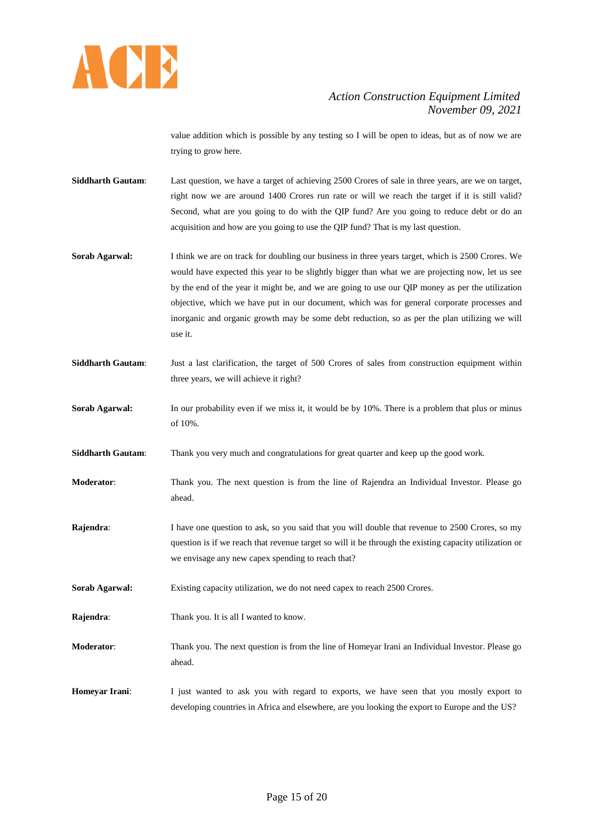

value addition which is possible by any testing so I will be open to ideas, but as of now we are trying to grow here.

- **Siddharth Gautam**: Last question, we have a target of achieving 2500 Crores of sale in three years, are we on target, right now we are around 1400 Crores run rate or will we reach the target if it is still valid? Second, what are you going to do with the QIP fund? Are you going to reduce debt or do an acquisition and how are you going to use the QIP fund? That is my last question.
- **Sorab Agarwal:** I think we are on track for doubling our business in three years target, which is 2500 Crores. We would have expected this year to be slightly bigger than what we are projecting now, let us see by the end of the year it might be, and we are going to use our QIP money as per the utilization objective, which we have put in our document, which was for general corporate processes and inorganic and organic growth may be some debt reduction, so as per the plan utilizing we will use it.
- **Siddharth Gautam**: Just a last clarification, the target of 500 Crores of sales from construction equipment within three years, we will achieve it right?
- **Sorab Agarwal:** In our probability even if we miss it, it would be by 10%. There is a problem that plus or minus of 10%.

**Siddharth Gautam**: Thank you very much and congratulations for great quarter and keep up the good work.

- **Moderator**: Thank you. The next question is from the line of Rajendra an Individual Investor. Please go ahead.
- **Rajendra:** I have one question to ask, so you said that you will double that revenue to 2500 Crores, so my question is if we reach that revenue target so will it be through the existing capacity utilization or we envisage any new capex spending to reach that?

**Sorab Agarwal:** Existing capacity utilization, we do not need capex to reach 2500 Crores.

- **Rajendra:** Thank you. It is all I wanted to know.
- **Moderator**: Thank you. The next question is from the line of Homeyar Irani an Individual Investor. Please go ahead.
- **Homeyar Irani**: I just wanted to ask you with regard to exports, we have seen that you mostly export to developing countries in Africa and elsewhere, are you looking the export to Europe and the US?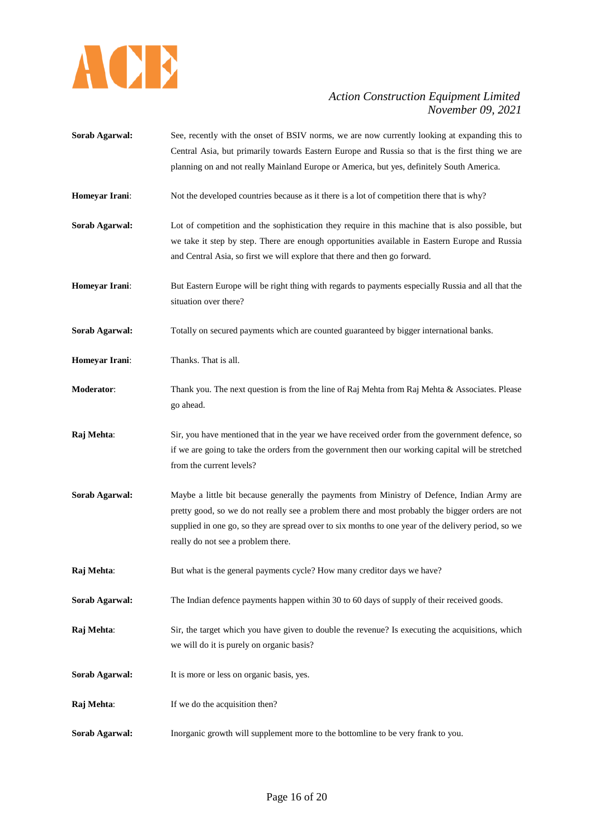

**Sorab Agarwal:** See, recently with the onset of BSIV norms, we are now currently looking at expanding this to Central Asia, but primarily towards Eastern Europe and Russia so that is the first thing we are planning on and not really Mainland Europe or America, but yes, definitely South America. **Homeyar Irani:** Not the developed countries because as it there is a lot of competition there that is why? **Sorab Agarwal:** Lot of competition and the sophistication they require in this machine that is also possible, but we take it step by step. There are enough opportunities available in Eastern Europe and Russia and Central Asia, so first we will explore that there and then go forward. **Homeyar Irani**: But Eastern Europe will be right thing with regards to payments especially Russia and all that the situation over there? **Sorab Agarwal:** Totally on secured payments which are counted guaranteed by bigger international banks. **Homeyar Irani:** Thanks. That is all. **Moderator**: Thank you. The next question is from the line of Raj Mehta from Raj Mehta & Associates. Please go ahead. **Raj Mehta**: Sir, you have mentioned that in the year we have received order from the government defence, so if we are going to take the orders from the government then our working capital will be stretched from the current levels? **Sorab Agarwal:** Maybe a little bit because generally the payments from Ministry of Defence, Indian Army are pretty good, so we do not really see a problem there and most probably the bigger orders are not supplied in one go, so they are spread over to six months to one year of the delivery period, so we really do not see a problem there. **Raj Mehta**: But what is the general payments cycle? How many creditor days we have? **Sorab Agarwal:** The Indian defence payments happen within 30 to 60 days of supply of their received goods. **Raj Mehta**: Sir, the target which you have given to double the revenue? Is executing the acquisitions, which we will do it is purely on organic basis? Sorab Agarwal: It is more or less on organic basis, yes. **Raj Mehta:** If we do the acquisition then? **Sorab Agarwal:** Inorganic growth will supplement more to the bottomline to be very frank to you.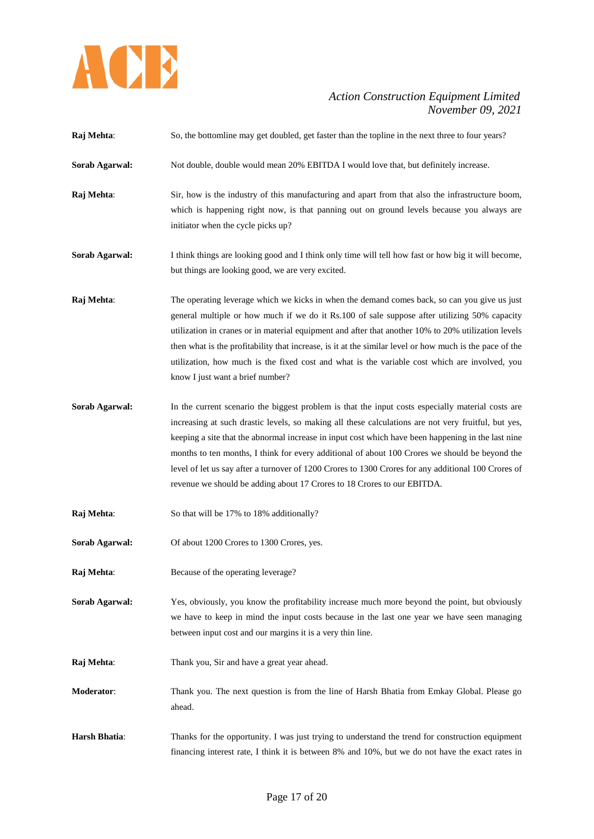

| Raj Mehta:            | So, the bottomline may get doubled, get faster than the topline in the next three to four years?                                                                                                                                                                                                                                                                                                                                                                                                                                                                                                   |
|-----------------------|----------------------------------------------------------------------------------------------------------------------------------------------------------------------------------------------------------------------------------------------------------------------------------------------------------------------------------------------------------------------------------------------------------------------------------------------------------------------------------------------------------------------------------------------------------------------------------------------------|
| Sorab Agarwal:        | Not double, double would mean 20% EBITDA I would love that, but definitely increase.                                                                                                                                                                                                                                                                                                                                                                                                                                                                                                               |
| Raj Mehta:            | Sir, how is the industry of this manufacturing and apart from that also the infrastructure boom,<br>which is happening right now, is that panning out on ground levels because you always are<br>initiator when the cycle picks up?                                                                                                                                                                                                                                                                                                                                                                |
| Sorab Agarwal:        | I think things are looking good and I think only time will tell how fast or how big it will become,<br>but things are looking good, we are very excited.                                                                                                                                                                                                                                                                                                                                                                                                                                           |
| Raj Mehta:            | The operating leverage which we kicks in when the demand comes back, so can you give us just<br>general multiple or how much if we do it Rs.100 of sale suppose after utilizing 50% capacity<br>utilization in cranes or in material equipment and after that another 10% to 20% utilization levels<br>then what is the profitability that increase, is it at the similar level or how much is the pace of the<br>utilization, how much is the fixed cost and what is the variable cost which are involved, you<br>know I just want a brief number?                                                |
| Sorab Agarwal:        | In the current scenario the biggest problem is that the input costs especially material costs are<br>increasing at such drastic levels, so making all these calculations are not very fruitful, but yes,<br>keeping a site that the abnormal increase in input cost which have been happening in the last nine<br>months to ten months, I think for every additional of about 100 Crores we should be beyond the<br>level of let us say after a turnover of 1200 Crores to 1300 Crores for any additional 100 Crores of<br>revenue we should be adding about 17 Crores to 18 Crores to our EBITDA. |
| Raj Mehta:            | So that will be 17% to 18% additionally?                                                                                                                                                                                                                                                                                                                                                                                                                                                                                                                                                           |
| <b>Sorab Agarwal:</b> | Of about 1200 Crores to 1300 Crores, yes.                                                                                                                                                                                                                                                                                                                                                                                                                                                                                                                                                          |
| Raj Mehta:            | Because of the operating leverage?                                                                                                                                                                                                                                                                                                                                                                                                                                                                                                                                                                 |
| Sorab Agarwal:        | Yes, obviously, you know the profitability increase much more beyond the point, but obviously<br>we have to keep in mind the input costs because in the last one year we have seen managing<br>between input cost and our margins it is a very thin line.                                                                                                                                                                                                                                                                                                                                          |
| Raj Mehta:            | Thank you, Sir and have a great year ahead.                                                                                                                                                                                                                                                                                                                                                                                                                                                                                                                                                        |
| Moderator:            | Thank you. The next question is from the line of Harsh Bhatia from Emkay Global. Please go<br>ahead.                                                                                                                                                                                                                                                                                                                                                                                                                                                                                               |
| Harsh Bhatia:         | Thanks for the opportunity. I was just trying to understand the trend for construction equipment<br>financing interest rate, I think it is between 8% and 10%, but we do not have the exact rates in                                                                                                                                                                                                                                                                                                                                                                                               |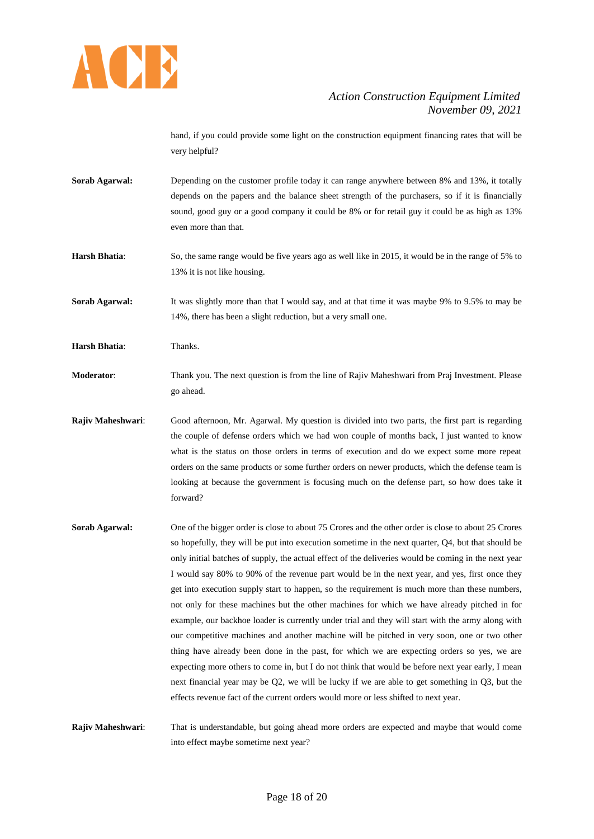

hand, if you could provide some light on the construction equipment financing rates that will be very helpful?

- **Sorab Agarwal:** Depending on the customer profile today it can range anywhere between 8% and 13%, it totally depends on the papers and the balance sheet strength of the purchasers, so if it is financially sound, good guy or a good company it could be 8% or for retail guy it could be as high as 13% even more than that.
- **Harsh Bhatia**: So, the same range would be five years ago as well like in 2015, it would be in the range of 5% to 13% it is not like housing.

**Sorab Agarwal:** It was slightly more than that I would say, and at that time it was maybe 9% to 9.5% to may be 14%, there has been a slight reduction, but a very small one.

**Harsh Bhatia**: Thanks.

- **Moderator**: Thank you. The next question is from the line of Rajiv Maheshwari from Praj Investment. Please go ahead.
- **Rajiv Maheshwari**: Good afternoon, Mr. Agarwal. My question is divided into two parts, the first part is regarding the couple of defense orders which we had won couple of months back, I just wanted to know what is the status on those orders in terms of execution and do we expect some more repeat orders on the same products or some further orders on newer products, which the defense team is looking at because the government is focusing much on the defense part, so how does take it forward?
- **Sorab Agarwal:** One of the bigger order is close to about 75 Crores and the other order is close to about 25 Crores so hopefully, they will be put into execution sometime in the next quarter, Q4, but that should be only initial batches of supply, the actual effect of the deliveries would be coming in the next year I would say 80% to 90% of the revenue part would be in the next year, and yes, first once they get into execution supply start to happen, so the requirement is much more than these numbers, not only for these machines but the other machines for which we have already pitched in for example, our backhoe loader is currently under trial and they will start with the army along with our competitive machines and another machine will be pitched in very soon, one or two other thing have already been done in the past, for which we are expecting orders so yes, we are expecting more others to come in, but I do not think that would be before next year early, I mean next financial year may be Q2, we will be lucky if we are able to get something in Q3, but the effects revenue fact of the current orders would more or less shifted to next year.

**Rajiv Maheshwari**: That is understandable, but going ahead more orders are expected and maybe that would come into effect maybe sometime next year?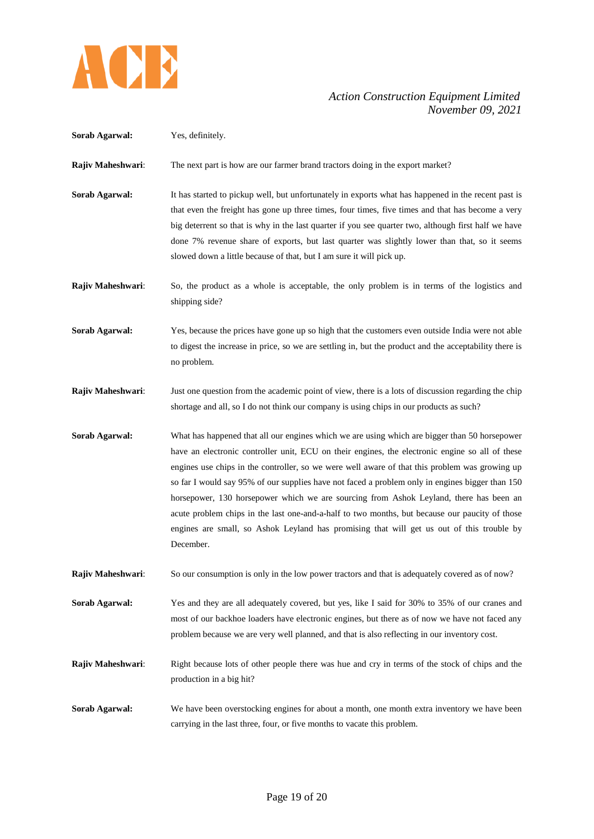

| Sorab Agarwal:        | Yes, definitely.                                                                                                                                                                                                                                                                                                                                                                                                                                                                                                                                                                                                                                                                                            |
|-----------------------|-------------------------------------------------------------------------------------------------------------------------------------------------------------------------------------------------------------------------------------------------------------------------------------------------------------------------------------------------------------------------------------------------------------------------------------------------------------------------------------------------------------------------------------------------------------------------------------------------------------------------------------------------------------------------------------------------------------|
| Rajiv Maheshwari:     | The next part is how are our farmer brand tractors doing in the export market?                                                                                                                                                                                                                                                                                                                                                                                                                                                                                                                                                                                                                              |
| Sorab Agarwal:        | It has started to pickup well, but unfortunately in exports what has happened in the recent past is<br>that even the freight has gone up three times, four times, five times and that has become a very<br>big deterrent so that is why in the last quarter if you see quarter two, although first half we have<br>done 7% revenue share of exports, but last quarter was slightly lower than that, so it seems<br>slowed down a little because of that, but I am sure it will pick up.                                                                                                                                                                                                                     |
| Rajiv Maheshwari:     | So, the product as a whole is acceptable, the only problem is in terms of the logistics and<br>shipping side?                                                                                                                                                                                                                                                                                                                                                                                                                                                                                                                                                                                               |
| Sorab Agarwal:        | Yes, because the prices have gone up so high that the customers even outside India were not able<br>to digest the increase in price, so we are settling in, but the product and the acceptability there is<br>no problem.                                                                                                                                                                                                                                                                                                                                                                                                                                                                                   |
| Rajiv Maheshwari:     | Just one question from the academic point of view, there is a lots of discussion regarding the chip<br>shortage and all, so I do not think our company is using chips in our products as such?                                                                                                                                                                                                                                                                                                                                                                                                                                                                                                              |
| <b>Sorab Agarwal:</b> | What has happened that all our engines which we are using which are bigger than 50 horsepower<br>have an electronic controller unit, ECU on their engines, the electronic engine so all of these<br>engines use chips in the controller, so we were well aware of that this problem was growing up<br>so far I would say 95% of our supplies have not faced a problem only in engines bigger than 150<br>horsepower, 130 horsepower which we are sourcing from Ashok Leyland, there has been an<br>acute problem chips in the last one-and-a-half to two months, but because our paucity of those<br>engines are small, so Ashok Leyland has promising that will get us out of this trouble by<br>December. |
| Rajiv Maheshwari:     | So our consumption is only in the low power tractors and that is adequately covered as of now?                                                                                                                                                                                                                                                                                                                                                                                                                                                                                                                                                                                                              |
| Sorab Agarwal:        | Yes and they are all adequately covered, but yes, like I said for 30% to 35% of our cranes and<br>most of our backhoe loaders have electronic engines, but there as of now we have not faced any<br>problem because we are very well planned, and that is also reflecting in our inventory cost.                                                                                                                                                                                                                                                                                                                                                                                                            |
| Rajiv Maheshwari:     | Right because lots of other people there was hue and cry in terms of the stock of chips and the                                                                                                                                                                                                                                                                                                                                                                                                                                                                                                                                                                                                             |
|                       | production in a big hit?                                                                                                                                                                                                                                                                                                                                                                                                                                                                                                                                                                                                                                                                                    |